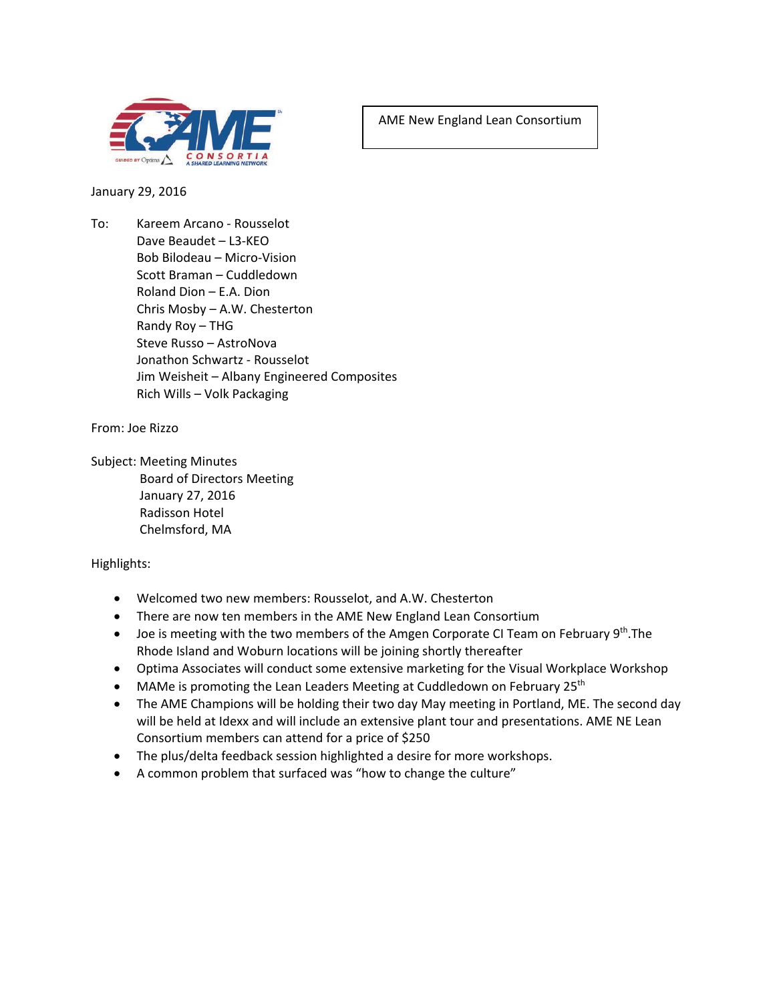

AME New England Lean Consortium

January 29, 2016

To: Kareem Arcano - Rousselot Dave Beaudet – L3-KEO Bob Bilodeau – Micro-Vision Scott Braman – Cuddledown Roland Dion – E.A. Dion Chris Mosby – A.W. Chesterton Randy Roy – THG Steve Russo – AstroNova Jonathon Schwartz - Rousselot Jim Weisheit – Albany Engineered Composites Rich Wills – Volk Packaging

From: Joe Rizzo

Subject: Meeting Minutes Board of Directors Meeting January 27, 2016 Radisson Hotel Chelmsford, MA

Highlights:

- Welcomed two new members: Rousselot, and A.W. Chesterton
- There are now ten members in the AME New England Lean Consortium
- Joe is meeting with the two members of the Amgen Corporate CI Team on February  $9<sup>th</sup>$ . The Rhode Island and Woburn locations will be joining shortly thereafter
- Optima Associates will conduct some extensive marketing for the Visual Workplace Workshop
- MAMe is promoting the Lean Leaders Meeting at Cuddledown on February 25<sup>th</sup>
- The AME Champions will be holding their two day May meeting in Portland, ME. The second day will be held at Idexx and will include an extensive plant tour and presentations. AME NE Lean Consortium members can attend for a price of \$250
- The plus/delta feedback session highlighted a desire for more workshops.
- A common problem that surfaced was "how to change the culture"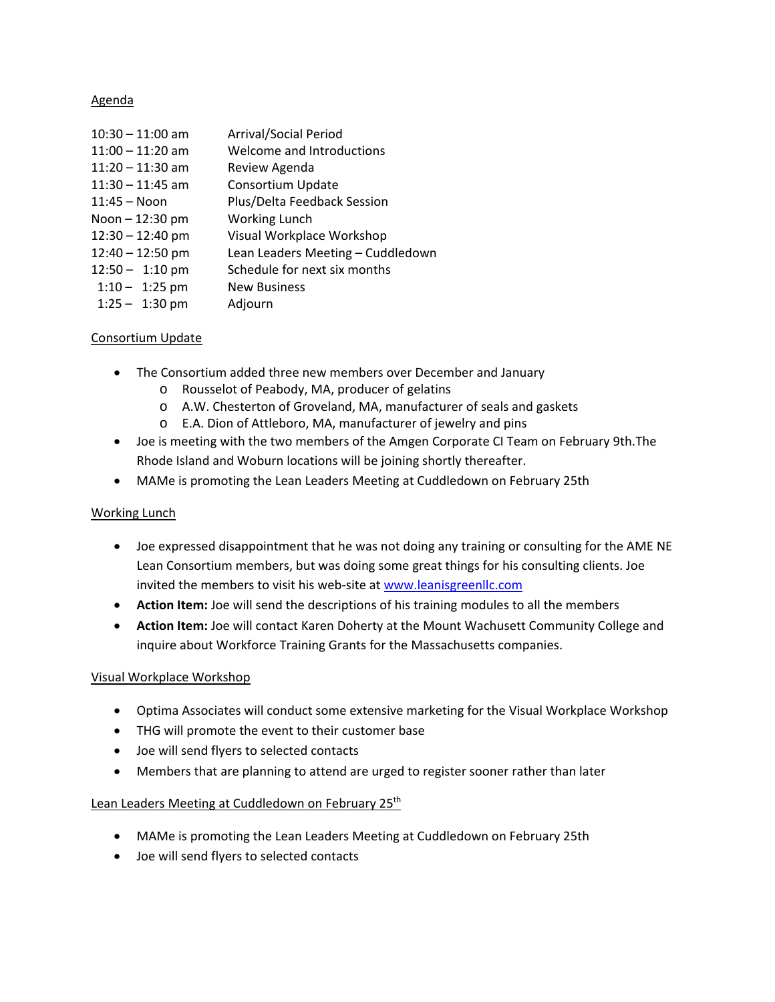### Agenda

| $10:30 - 11:00$ am | <b>Arrival/Social Period</b>      |
|--------------------|-----------------------------------|
| $11:00 - 11:20$ am | Welcome and Introductions         |
| $11:20 - 11:30$ am | Review Agenda                     |
| $11:30 - 11:45$ am | Consortium Update                 |
| $11:45 - N$ oon    | Plus/Delta Feedback Session       |
| Noon - 12:30 pm    | Working Lunch                     |
| $12:30 - 12:40$ pm | Visual Workplace Workshop         |
| $12:40 - 12:50$ pm | Lean Leaders Meeting - Cuddledown |
| $12:50 - 1:10$ pm  | Schedule for next six months      |
| $1:10 - 1:25$ pm   | <b>New Business</b>               |
| $1:25 - 1:30$ pm   | Adjourn                           |

## Consortium Update

- The Consortium added three new members over December and January
	- o Rousselot of Peabody, MA, producer of gelatins
	- o A.W. Chesterton of Groveland, MA, manufacturer of seals and gaskets
	- o E.A. Dion of Attleboro, MA, manufacturer of jewelry and pins
- Joe is meeting with the two members of the Amgen Corporate CI Team on February 9th.The Rhode Island and Woburn locations will be joining shortly thereafter.
- MAMe is promoting the Lean Leaders Meeting at Cuddledown on February 25th

## Working Lunch

- Joe expressed disappointment that he was not doing any training or consulting for the AME NE Lean Consortium members, but was doing some great things for his consulting clients. Joe invited the members to visit his web-site at [www.leanisgreenllc.com](http://www.leanisgreenllc.com/)
- **Action Item:** Joe will send the descriptions of his training modules to all the members
- **Action Item:** Joe will contact Karen Doherty at the Mount Wachusett Community College and inquire about Workforce Training Grants for the Massachusetts companies.

## Visual Workplace Workshop

- Optima Associates will conduct some extensive marketing for the Visual Workplace Workshop
- THG will promote the event to their customer base
- Joe will send flyers to selected contacts
- Members that are planning to attend are urged to register sooner rather than later

## Lean Leaders Meeting at Cuddledown on February 25<sup>th</sup>

- MAMe is promoting the Lean Leaders Meeting at Cuddledown on February 25th
- Joe will send flyers to selected contacts